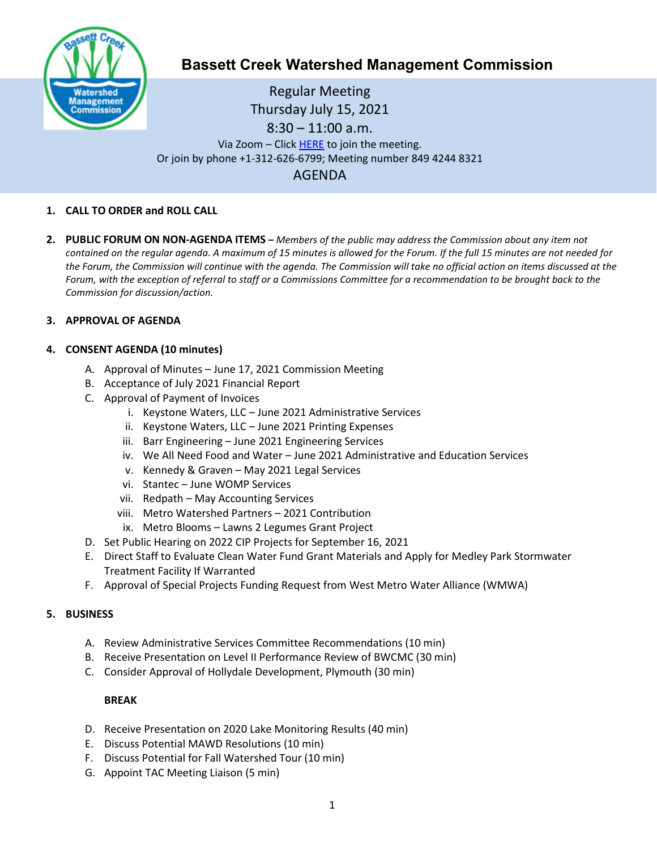

# **Bassett Creek Watershed Management Commission**

Regular Meeting Thursday July 15, 2021 8:30 – 11:00 a.m. Via Zoom – Clic[k HERE](https://us02web.zoom.us/j/84942448321) to join the meeting. Or join by phone +1-312-626-6799; Meeting number 849 4244 8321 AGENDA

## **1. CALL TO ORDER and ROLL CALL**

**2. PUBLIC FORUM ON NON-AGENDA ITEMS –** *Members of the public may address the Commission about any item not contained on the regular agenda. A maximum of 15 minutes is allowed for the Forum. If the full 15 minutes are not needed for the Forum, the Commission will continue with the agenda. The Commission will take no official action on items discussed at the Forum, with the exception of referral to staff or a Commissions Committee for a recommendation to be brought back to the Commission for discussion/action.*

## **3. APPROVAL OF AGENDA**

## **4. CONSENT AGENDA (10 minutes)**

- A. Approval of Minutes June 17, 2021 Commission Meeting
- B. Acceptance of July 2021 Financial Report
- C. Approval of Payment of Invoices
	- i. Keystone Waters, LLC June 2021 Administrative Services
	- ii. Keystone Waters, LLC June 2021 Printing Expenses
	- iii. Barr Engineering June 2021 Engineering Services
	- iv. We All Need Food and Water June 2021 Administrative and Education Services
	- v. Kennedy & Graven May 2021 Legal Services
	- vi. Stantec June WOMP Services
	- vii. Redpath May Accounting Services
	- viii. Metro Watershed Partners 2021 Contribution
	- ix. Metro Blooms Lawns 2 Legumes Grant Project
- D. Set Public Hearing on 2022 CIP Projects for September 16, 2021
- E. Direct Staff to Evaluate Clean Water Fund Grant Materials and Apply for Medley Park Stormwater Treatment Facility If Warranted
- F. Approval of Special Projects Funding Request from West Metro Water Alliance (WMWA)

## **5. BUSINESS**

- A. Review Administrative Services Committee Recommendations (10 min)
- B. Receive Presentation on Level II Performance Review of BWCMC (30 min)
- C. Consider Approval of Hollydale Development, Plymouth (30 min)

#### **BREAK**

- D. Receive Presentation on 2020 Lake Monitoring Results (40 min)
- E. Discuss Potential MAWD Resolutions (10 min)
- F. Discuss Potential for Fall Watershed Tour (10 min)
- G. Appoint TAC Meeting Liaison (5 min)